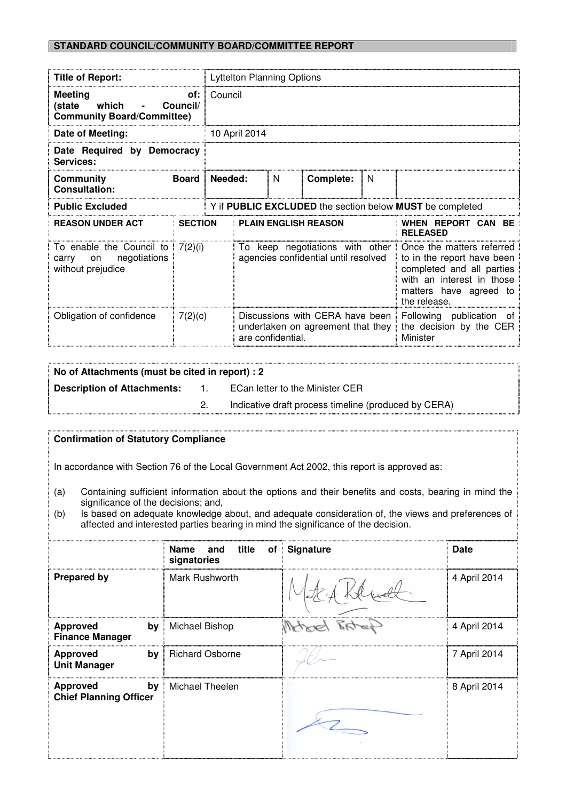# **STANDARD COUNCIL/COMMUNITY BOARD/COMMITTEE REPORT**

| <b>Title of Report:</b>                                                            |                | Lyttelton Planning Options                               |                                                                                           |   |           |                                                                 |                                                                                                                                                             |
|------------------------------------------------------------------------------------|----------------|----------------------------------------------------------|-------------------------------------------------------------------------------------------|---|-----------|-----------------------------------------------------------------|-------------------------------------------------------------------------------------------------------------------------------------------------------------|
| Meeting<br>of:<br>which<br>(state<br>Council/<br><b>Community Board/Committee)</b> |                | Council                                                  |                                                                                           |   |           |                                                                 |                                                                                                                                                             |
| Date of Meeting:                                                                   |                | 10 April 2014                                            |                                                                                           |   |           |                                                                 |                                                                                                                                                             |
| Date Required by Democracy<br>Services:                                            |                |                                                          |                                                                                           |   |           |                                                                 |                                                                                                                                                             |
| <b>Community</b><br><b>Consultation:</b>                                           | <b>Board</b>   |                                                          | Needed:                                                                                   | N | Complete: | <sub>N</sub>                                                    |                                                                                                                                                             |
| <b>Public Excluded</b>                                                             |                | Y if PUBLIC EXCLUDED the section below MUST be completed |                                                                                           |   |           |                                                                 |                                                                                                                                                             |
| <b>REASON UNDER ACT</b>                                                            | <b>SECTION</b> |                                                          | <b>PLAIN ENGLISH REASON</b>                                                               |   |           | WHEN REPORT CAN BE<br><b>RELEASED</b>                           |                                                                                                                                                             |
| To enable the Council to<br>negotiations<br>on<br>carry<br>without prejudice       | 7(2)(i)        |                                                          | To keep negotiations with other<br>agencies confidential until resolved                   |   |           |                                                                 | Once the matters referred<br>to in the report have been<br>completed and all parties<br>with an interest in those<br>matters have agreed to<br>the release. |
| Obligation of confidence                                                           | 7(2)(c)        |                                                          | Discussions with CERA have been<br>undertaken on agreement that they<br>are confidential. |   |           | Following publication of<br>the decision by the CER<br>Minister |                                                                                                                                                             |

| No of Attachments (must be cited in report) : 2 |       |                                                      |  |  |
|-------------------------------------------------|-------|------------------------------------------------------|--|--|
| <b>Description of Attachments:</b>              | $-1.$ | ECan letter to the Minister CER                      |  |  |
|                                                 |       | Indicative draft process timeline (produced by CERA) |  |  |
|                                                 |       |                                                      |  |  |

## **Confirmation of Statutory Compliance**

In accordance with Section 76 of the Local Government Act 2002, this report is approved as:

- (a) Containing sufficient information about the options and their benefits and costs, bearing in mind the significance of the decisions; and,
- (b) Is based on adequate knowledge about, and adequate consideration of, the views and preferences of affected and interested parties bearing in mind the significance of the decision. ł

|                                                        | title<br><b>Name</b><br>and<br>Οf<br>signatories | Signature | <b>Date</b>  |
|--------------------------------------------------------|--------------------------------------------------|-----------|--------------|
| <b>Prepared by</b>                                     | Mark Rushworth                                   |           | 4 April 2014 |
| <b>Approved</b><br>by<br><b>Finance Manager</b>        | Michael Bishop                                   |           | 4 April 2014 |
| <b>Approved</b><br>by<br><b>Unit Manager</b>           | <b>Richard Osborne</b>                           |           | 7 April 2014 |
| <b>Approved</b><br>by<br><b>Chief Planning Officer</b> | Michael Theelen                                  |           | 8 April 2014 |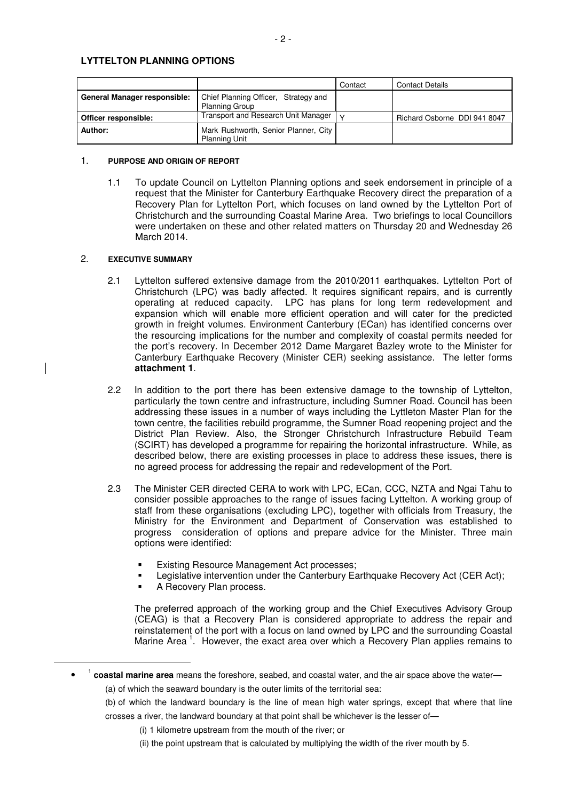# **LYTTELTON PLANNING OPTIONS**

|                              |                                                               | Contact | <b>Contact Details</b>       |
|------------------------------|---------------------------------------------------------------|---------|------------------------------|
| General Manager responsible: | Chief Planning Officer, Strategy and<br><b>Planning Group</b> |         |                              |
| Officer responsible:         | Transport and Research Unit Manager                           |         | Richard Osborne DDI 941 8047 |
| Author:                      | Mark Rushworth, Senior Planner, City<br><b>Planning Unit</b>  |         |                              |

#### 1. **PURPOSE AND ORIGIN OF REPORT**

1.1 To update Council on Lyttelton Planning options and seek endorsement in principle of a request that the Minister for Canterbury Earthquake Recovery direct the preparation of a Recovery Plan for Lyttelton Port, which focuses on land owned by the Lyttelton Port of Christchurch and the surrounding Coastal Marine Area. Two briefings to local Councillors were undertaken on these and other related matters on Thursday 20 and Wednesday 26 March 2014.

### 2. **EXECUTIVE SUMMARY**

- 2.1 Lyttelton suffered extensive damage from the 2010/2011 earthquakes. Lyttelton Port of Christchurch (LPC) was badly affected. It requires significant repairs, and is currently operating at reduced capacity. LPC has plans for long term redevelopment and expansion which will enable more efficient operation and will cater for the predicted growth in freight volumes. Environment Canterbury (ECan) has identified concerns over the resourcing implications for the number and complexity of coastal permits needed for the port's recovery. In December 2012 Dame Margaret Bazley wrote to the Minister for Canterbury Earthquake Recovery (Minister CER) seeking assistance. The letter forms **attachment 1**.
- 2.2 In addition to the port there has been extensive damage to the township of Lyttelton, particularly the town centre and infrastructure, including Sumner Road. Council has been addressing these issues in a number of ways including the Lyttleton Master Plan for the town centre, the facilities rebuild programme, the Sumner Road reopening project and the District Plan Review. Also, the Stronger Christchurch Infrastructure Rebuild Team (SCIRT) has developed a programme for repairing the horizontal infrastructure. While, as described below, there are existing processes in place to address these issues, there is no agreed process for addressing the repair and redevelopment of the Port.
- 2.3 The Minister CER directed CERA to work with LPC, ECan, CCC, NZTA and Ngai Tahu to consider possible approaches to the range of issues facing Lyttelton. A working group of staff from these organisations (excluding LPC), together with officials from Treasury, the Ministry for the Environment and Department of Conservation was established to progress consideration of options and prepare advice for the Minister. Three main options were identified:
	- **Existing Resource Management Act processes;**
	- Legislative intervention under the Canterbury Earthquake Recovery Act (CER Act);
	- A Recovery Plan process.

-

 The preferred approach of the working group and the Chief Executives Advisory Group (CEAG) is that a Recovery Plan is considered appropriate to address the repair and reinstatement of the port with a focus on land owned by LPC and the surrounding Coastal Marine Area<sup>1</sup>. However, the exact area over which a Recovery Plan applies remains to

- (b) of which the landward boundary is the line of mean high water springs, except that where that line crosses a river, the landward boundary at that point shall be whichever is the lesser of—
	- (i) 1 kilometre upstream from the mouth of the river; or
	- (ii) the point upstream that is calculated by multiplying the width of the river mouth by 5.

<sup>•</sup> <sup>1</sup> coastal marine area means the foreshore, seabed, and coastal water, and the air space above the water— (a) of which the seaward boundary is the outer limits of the territorial sea: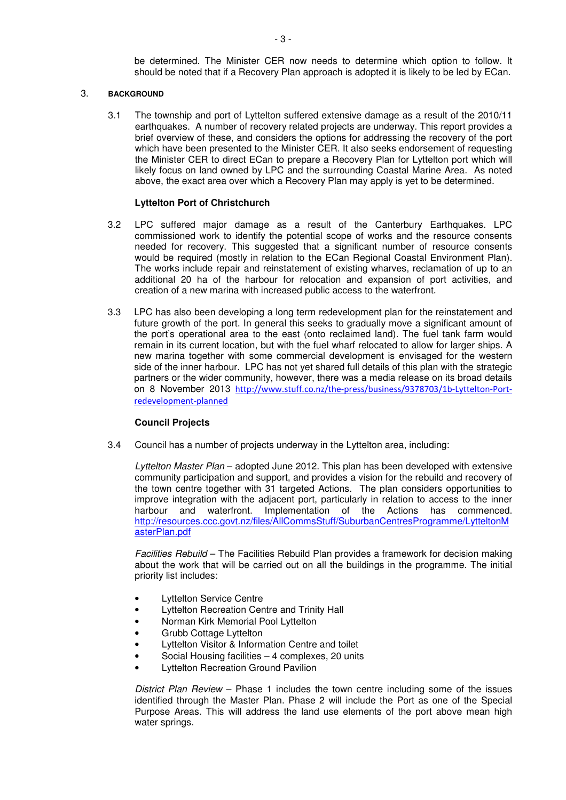be determined. The Minister CER now needs to determine which option to follow. It should be noted that if a Recovery Plan approach is adopted it is likely to be led by ECan.

### 3. **BACKGROUND**

 3.1 The township and port of Lyttelton suffered extensive damage as a result of the 2010/11 earthquakes. A number of recovery related projects are underway. This report provides a brief overview of these, and considers the options for addressing the recovery of the port which have been presented to the Minister CER. It also seeks endorsement of requesting the Minister CER to direct ECan to prepare a Recovery Plan for Lyttelton port which will likely focus on land owned by LPC and the surrounding Coastal Marine Area. As noted above, the exact area over which a Recovery Plan may apply is yet to be determined.

## **Lyttelton Port of Christchurch**

- 3.2 LPC suffered major damage as a result of the Canterbury Earthquakes. LPC commissioned work to identify the potential scope of works and the resource consents needed for recovery. This suggested that a significant number of resource consents would be required (mostly in relation to the ECan Regional Coastal Environment Plan). The works include repair and reinstatement of existing wharves, reclamation of up to an additional 20 ha of the harbour for relocation and expansion of port activities, and creation of a new marina with increased public access to the waterfront.
- 3.3 LPC has also been developing a long term redevelopment plan for the reinstatement and future growth of the port. In general this seeks to gradually move a significant amount of the port's operational area to the east (onto reclaimed land). The fuel tank farm would remain in its current location, but with the fuel wharf relocated to allow for larger ships. A new marina together with some commercial development is envisaged for the western side of the inner harbour. LPC has not yet shared full details of this plan with the strategic partners or the wider community, however, there was a media release on its broad details on 8 November 2013 http://www.stuff.co.nz/the-press/business/9378703/1b-Lyttelton-Portredevelopment-planned

#### **Council Projects**

3.4 Council has a number of projects underway in the Lyttelton area, including:

Lyttelton Master Plan – adopted June 2012. This plan has been developed with extensive community participation and support, and provides a vision for the rebuild and recovery of the town centre together with 31 targeted Actions. The plan considers opportunities to improve integration with the adjacent port, particularly in relation to access to the inner harbour and waterfront. Implementation of the Actions has commenced. http://resources.ccc.govt.nz/files/AllCommsStuff/SuburbanCentresProgramme/LytteltonM asterPlan.pdf

Facilities Rebuild – The Facilities Rebuild Plan provides a framework for decision making about the work that will be carried out on all the buildings in the programme. The initial priority list includes:

- Lyttelton Service Centre
- Lyttelton Recreation Centre and Trinity Hall
- Norman Kirk Memorial Pool Lyttelton
- Grubb Cottage Lyttelton
- Lyttelton Visitor & Information Centre and toilet
- Social Housing facilities 4 complexes, 20 units
- **Lyttelton Recreation Ground Pavilion**

District Plan Review – Phase 1 includes the town centre including some of the issues identified through the Master Plan. Phase 2 will include the Port as one of the Special Purpose Areas. This will address the land use elements of the port above mean high water springs.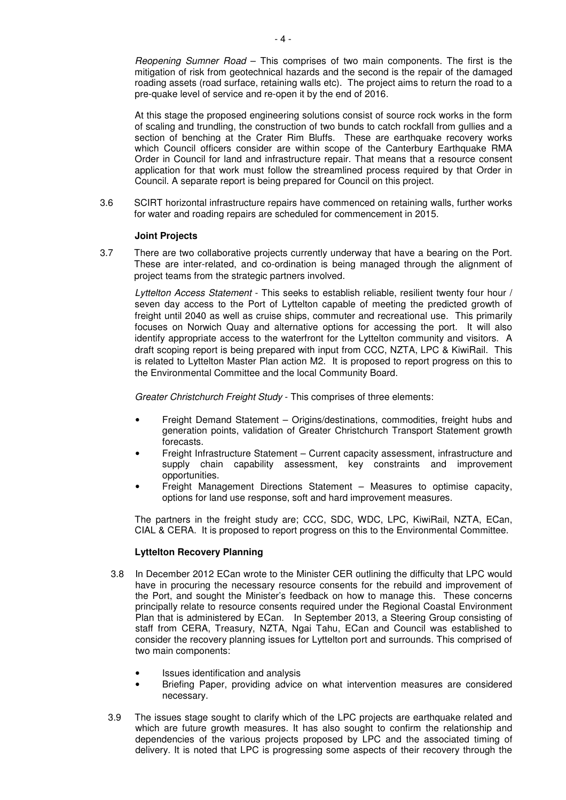Reopening Sumner Road – This comprises of two main components. The first is the mitigation of risk from geotechnical hazards and the second is the repair of the damaged roading assets (road surface, retaining walls etc). The project aims to return the road to a pre-quake level of service and re-open it by the end of 2016.

At this stage the proposed engineering solutions consist of source rock works in the form of scaling and trundling, the construction of two bunds to catch rockfall from gullies and a section of benching at the Crater Rim Bluffs. These are earthquake recovery works which Council officers consider are within scope of the Canterbury Earthquake RMA Order in Council for land and infrastructure repair. That means that a resource consent application for that work must follow the streamlined process required by that Order in Council. A separate report is being prepared for Council on this project.

3.6 SCIRT horizontal infrastructure repairs have commenced on retaining walls, further works for water and roading repairs are scheduled for commencement in 2015.

## **Joint Projects**

3.7 There are two collaborative projects currently underway that have a bearing on the Port. These are inter-related, and co-ordination is being managed through the alignment of project teams from the strategic partners involved.

Lyttelton Access Statement - This seeks to establish reliable, resilient twenty four hour / seven day access to the Port of Lyttelton capable of meeting the predicted growth of freight until 2040 as well as cruise ships, commuter and recreational use. This primarily focuses on Norwich Quay and alternative options for accessing the port. It will also identify appropriate access to the waterfront for the Lyttelton community and visitors. A draft scoping report is being prepared with input from CCC, NZTA, LPC & KiwiRail. This is related to Lyttelton Master Plan action M2. It is proposed to report progress on this to the Environmental Committee and the local Community Board.

Greater Christchurch Freight Study - This comprises of three elements:

- Freight Demand Statement Origins/destinations, commodities, freight hubs and generation points, validation of Greater Christchurch Transport Statement growth forecasts.
- Freight Infrastructure Statement Current capacity assessment, infrastructure and supply chain capability assessment, key constraints and improvement opportunities.
- Freight Management Directions Statement Measures to optimise capacity, options for land use response, soft and hard improvement measures.

The partners in the freight study are; CCC, SDC, WDC, LPC, KiwiRail, NZTA, ECan, CIAL & CERA. It is proposed to report progress on this to the Environmental Committee.

## **Lyttelton Recovery Planning**

- 3.8 In December 2012 ECan wrote to the Minister CER outlining the difficulty that LPC would have in procuring the necessary resource consents for the rebuild and improvement of the Port, and sought the Minister's feedback on how to manage this. These concerns principally relate to resource consents required under the Regional Coastal Environment Plan that is administered by ECan. In September 2013, a Steering Group consisting of staff from CERA, Treasury, NZTA, Ngai Tahu, ECan and Council was established to consider the recovery planning issues for Lyttelton port and surrounds. This comprised of two main components:
	- Issues identification and analysis
	- Briefing Paper, providing advice on what intervention measures are considered necessary.
- 3.9 The issues stage sought to clarify which of the LPC projects are earthquake related and which are future growth measures. It has also sought to confirm the relationship and dependencies of the various projects proposed by LPC and the associated timing of delivery. It is noted that LPC is progressing some aspects of their recovery through the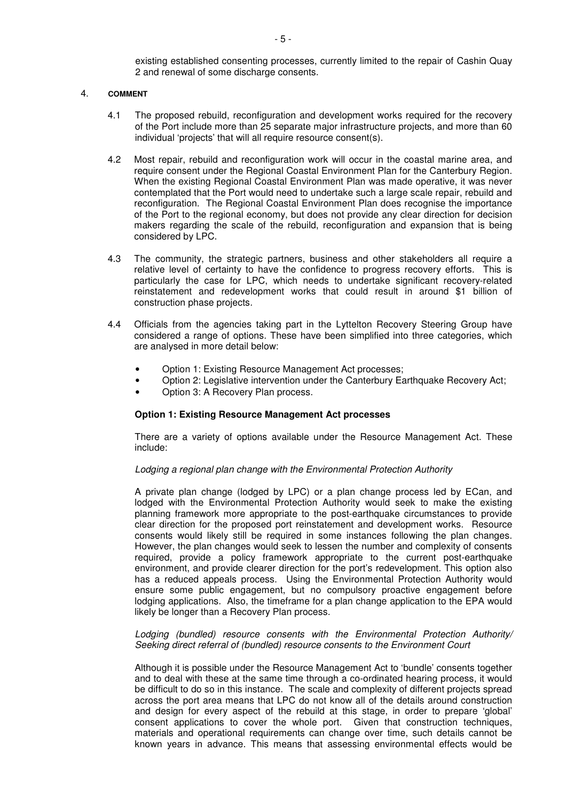existing established consenting processes, currently limited to the repair of Cashin Quay 2 and renewal of some discharge consents.

### 4. **COMMENT**

- 4.1 The proposed rebuild, reconfiguration and development works required for the recovery of the Port include more than 25 separate major infrastructure projects, and more than 60 individual 'projects' that will all require resource consent(s).
- 4.2 Most repair, rebuild and reconfiguration work will occur in the coastal marine area, and require consent under the Regional Coastal Environment Plan for the Canterbury Region. When the existing Regional Coastal Environment Plan was made operative, it was never contemplated that the Port would need to undertake such a large scale repair, rebuild and reconfiguration. The Regional Coastal Environment Plan does recognise the importance of the Port to the regional economy, but does not provide any clear direction for decision makers regarding the scale of the rebuild, reconfiguration and expansion that is being considered by LPC.
- 4.3 The community, the strategic partners, business and other stakeholders all require a relative level of certainty to have the confidence to progress recovery efforts. This is particularly the case for LPC, which needs to undertake significant recovery-related reinstatement and redevelopment works that could result in around \$1 billion of construction phase projects.
- 4.4 Officials from the agencies taking part in the Lyttelton Recovery Steering Group have considered a range of options. These have been simplified into three categories, which are analysed in more detail below:
	- Option 1: Existing Resource Management Act processes;
	- Option 2: Legislative intervention under the Canterbury Earthquake Recovery Act;
	- Option 3: A Recovery Plan process.

## **Option 1: Existing Resource Management Act processes**

There are a variety of options available under the Resource Management Act. These include:

## Lodging a regional plan change with the Environmental Protection Authority

A private plan change (lodged by LPC) or a plan change process led by ECan, and lodged with the Environmental Protection Authority would seek to make the existing planning framework more appropriate to the post-earthquake circumstances to provide clear direction for the proposed port reinstatement and development works. Resource consents would likely still be required in some instances following the plan changes. However, the plan changes would seek to lessen the number and complexity of consents required, provide a policy framework appropriate to the current post-earthquake environment, and provide clearer direction for the port's redevelopment. This option also has a reduced appeals process. Using the Environmental Protection Authority would ensure some public engagement, but no compulsory proactive engagement before lodging applications. Also, the timeframe for a plan change application to the EPA would likely be longer than a Recovery Plan process.

## Lodging (bundled) resource consents with the Environmental Protection Authority/ Seeking direct referral of (bundled) resource consents to the Environment Court

Although it is possible under the Resource Management Act to 'bundle' consents together and to deal with these at the same time through a co-ordinated hearing process, it would be difficult to do so in this instance. The scale and complexity of different projects spread across the port area means that LPC do not know all of the details around construction and design for every aspect of the rebuild at this stage, in order to prepare 'global' consent applications to cover the whole port. Given that construction techniques, materials and operational requirements can change over time, such details cannot be known years in advance. This means that assessing environmental effects would be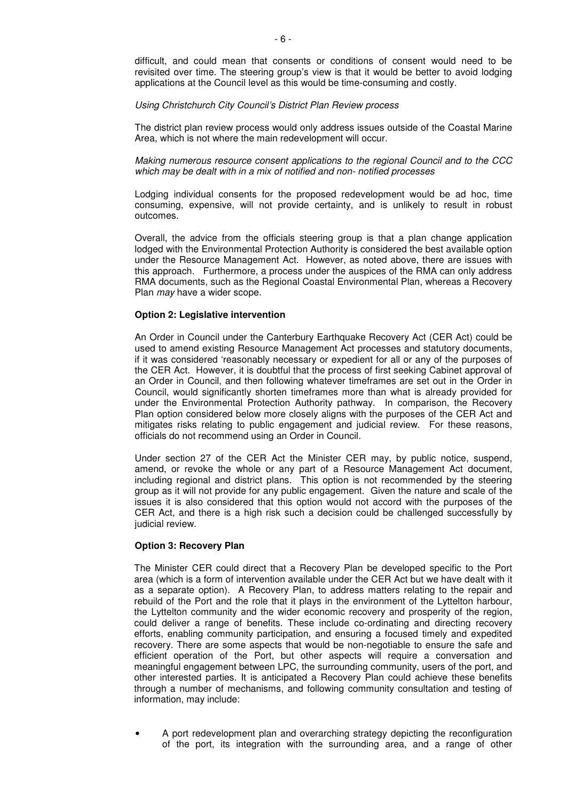difficult, and could mean that consents or conditions of consent would need to be revisited over time. The steering group's view is that it would be better to avoid lodging applications at the Council level as this would be time-consuming and costly.

#### Using Christchurch City Council's District Plan Review process

The district plan review process would only address issues outside of the Coastal Marine Area, which is not where the main redevelopment will occur.

Making numerous resource consent applications to the regional Council and to the CCC which may be dealt with in a mix of notified and non- notified processes

Lodging individual consents for the proposed redevelopment would be ad hoc, time consuming, expensive, will not provide certainty, and is unlikely to result in robust outcomes.

Overall, the advice from the officials steering group is that a plan change application lodged with the Environmental Protection Authority is considered the best available option under the Resource Management Act. However, as noted above, there are issues with this approach. Furthermore, a process under the auspices of the RMA can only address RMA documents, such as the Regional Coastal Environmental Plan, whereas a Recovery Plan may have a wider scope.

## **Option 2: Legislative intervention**

An Order in Council under the Canterbury Earthquake Recovery Act (CER Act) could be used to amend existing Resource Management Act processes and statutory documents, if it was considered 'reasonably necessary or expedient for all or any of the purposes of the CER Act. However, it is doubtful that the process of first seeking Cabinet approval of an Order in Council, and then following whatever timeframes are set out in the Order in Council, would significantly shorten timeframes more than what is already provided for under the Environmental Protection Authority pathway. In comparison, the Recovery Plan option considered below more closely aligns with the purposes of the CER Act and mitigates risks relating to public engagement and judicial review. For these reasons, officials do not recommend using an Order in Council.

Under section 27 of the CER Act the Minister CER may, by public notice, suspend, amend, or revoke the whole or any part of a Resource Management Act document, including regional and district plans. This option is not recommended by the steering group as it will not provide for any public engagement. Given the nature and scale of the issues it is also considered that this option would not accord with the purposes of the CER Act, and there is a high risk such a decision could be challenged successfully by judicial review.

#### **Option 3: Recovery Plan**

The Minister CER could direct that a Recovery Plan be developed specific to the Port area (which is a form of intervention available under the CER Act but we have dealt with it as a separate option). A Recovery Plan, to address matters relating to the repair and rebuild of the Port and the role that it plays in the environment of the Lyttelton harbour, the Lyttelton community and the wider economic recovery and prosperity of the region, could deliver a range of benefits. These include co-ordinating and directing recovery efforts, enabling community participation, and ensuring a focused timely and expedited recovery. There are some aspects that would be non-negotiable to ensure the safe and efficient operation of the Port, but other aspects will require a conversation and meaningful engagement between LPC, the surrounding community, users of the port, and other interested parties. It is anticipated a Recovery Plan could achieve these benefits through a number of mechanisms, and following community consultation and testing of information, may include:

• A port redevelopment plan and overarching strategy depicting the reconfiguration of the port, its integration with the surrounding area, and a range of other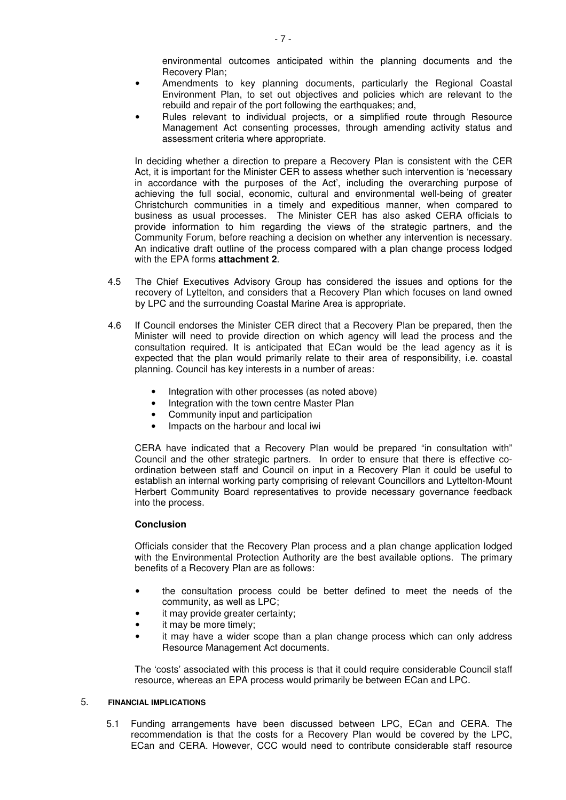environmental outcomes anticipated within the planning documents and the Recovery Plan;

- Amendments to key planning documents, particularly the Regional Coastal Environment Plan, to set out objectives and policies which are relevant to the rebuild and repair of the port following the earthquakes; and,
- Rules relevant to individual projects, or a simplified route through Resource Management Act consenting processes, through amending activity status and assessment criteria where appropriate.

In deciding whether a direction to prepare a Recovery Plan is consistent with the CER Act, it is important for the Minister CER to assess whether such intervention is 'necessary in accordance with the purposes of the Act', including the overarching purpose of achieving the full social, economic, cultural and environmental well-being of greater Christchurch communities in a timely and expeditious manner, when compared to business as usual processes. The Minister CER has also asked CERA officials to provide information to him regarding the views of the strategic partners, and the Community Forum, before reaching a decision on whether any intervention is necessary. An indicative draft outline of the process compared with a plan change process lodged with the EPA forms **attachment 2**.

- 4.5 The Chief Executives Advisory Group has considered the issues and options for the recovery of Lyttelton, and considers that a Recovery Plan which focuses on land owned by LPC and the surrounding Coastal Marine Area is appropriate.
- 4.6 If Council endorses the Minister CER direct that a Recovery Plan be prepared, then the Minister will need to provide direction on which agency will lead the process and the consultation required. It is anticipated that ECan would be the lead agency as it is expected that the plan would primarily relate to their area of responsibility, i.e. coastal planning. Council has key interests in a number of areas:
	- Integration with other processes (as noted above)
	- Integration with the town centre Master Plan
	- Community input and participation
	- Impacts on the harbour and local iwi

 CERA have indicated that a Recovery Plan would be prepared "in consultation with" Council and the other strategic partners. In order to ensure that there is effective coordination between staff and Council on input in a Recovery Plan it could be useful to establish an internal working party comprising of relevant Councillors and Lyttelton-Mount Herbert Community Board representatives to provide necessary governance feedback into the process.

## **Conclusion**

 Officials consider that the Recovery Plan process and a plan change application lodged with the Environmental Protection Authority are the best available options. The primary benefits of a Recovery Plan are as follows:

- the consultation process could be better defined to meet the needs of the community, as well as LPC;
- it may provide greater certainty;
- it may be more timely;
- it may have a wider scope than a plan change process which can only address Resource Management Act documents.

 The 'costs' associated with this process is that it could require considerable Council staff resource, whereas an EPA process would primarily be between ECan and LPC.

## 5. **FINANCIAL IMPLICATIONS**

5.1 Funding arrangements have been discussed between LPC, ECan and CERA. The recommendation is that the costs for a Recovery Plan would be covered by the LPC, ECan and CERA. However, CCC would need to contribute considerable staff resource